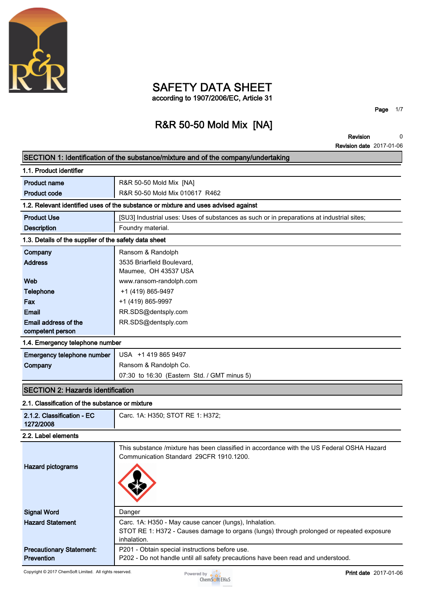

# **SAFETY DATA SHEET according to 1907/2006/EC, Article 31**

**Page 1/7**

# **R&R 50-50 Mold Mix [NA]**

**Revision Revision date 2017-01-06 0**

|                                                       | SECTION 1: Identification of the substance/mixture and of the company/undertaking                                                    |
|-------------------------------------------------------|--------------------------------------------------------------------------------------------------------------------------------------|
| 1.1. Product identifier                               |                                                                                                                                      |
| <b>Product name</b>                                   | R&R 50-50 Mold Mix [NA]                                                                                                              |
| <b>Product code</b>                                   | R&R 50-50 Mold Mix 010617 R462                                                                                                       |
|                                                       | 1.2. Relevant identified uses of the substance or mixture and uses advised against                                                   |
| <b>Product Use</b>                                    | [SU3] Industrial uses: Uses of substances as such or in preparations at industrial sites;                                            |
| <b>Description</b>                                    | Foundry material.                                                                                                                    |
| 1.3. Details of the supplier of the safety data sheet |                                                                                                                                      |
| Company                                               | Ransom & Randolph                                                                                                                    |
| <b>Address</b>                                        | 3535 Briarfield Boulevard,                                                                                                           |
|                                                       | Maumee, OH 43537 USA                                                                                                                 |
| Web                                                   | www.ransom-randolph.com                                                                                                              |
| <b>Telephone</b>                                      | +1 (419) 865-9497                                                                                                                    |
| Fax                                                   | +1 (419) 865-9997                                                                                                                    |
| <b>Email</b><br>Email address of the                  | RR.SDS@dentsply.com                                                                                                                  |
| competent person                                      | RR.SDS@dentsply.com                                                                                                                  |
| 1.4. Emergency telephone number                       |                                                                                                                                      |
| Emergency telephone number                            | USA +1 419 865 9497                                                                                                                  |
| Company                                               | Ransom & Randolph Co.                                                                                                                |
|                                                       | 07:30 to 16:30 (Eastern Std. / GMT minus 5)                                                                                          |
| <b>SECTION 2: Hazards identification</b>              |                                                                                                                                      |
| 2.1. Classification of the substance or mixture       |                                                                                                                                      |
| 2.1.2. Classification - EC<br>1272/2008               | Carc. 1A: H350; STOT RE 1: H372;                                                                                                     |
| 2.2. Label elements                                   |                                                                                                                                      |
| <b>Hazard pictograms</b>                              | This substance /mixture has been classified in accordance with the US Federal OSHA Hazard<br>Communication Standard 29CFR 1910.1200. |
| <b>Signal Word</b>                                    | Danger                                                                                                                               |
| <b>Hazard Statement</b>                               | Carc. 1A: H350 - May cause cancer (lungs), Inhalation.                                                                               |
|                                                       | STOT RE 1: H372 - Causes damage to organs (lungs) through prolonged or repeated exposure<br>inhalation.                              |
| <b>Precautionary Statement:</b>                       | P201 - Obtain special instructions before use.                                                                                       |
| Prevention                                            | P202 - Do not handle until all safety precautions have been read and understood.                                                     |

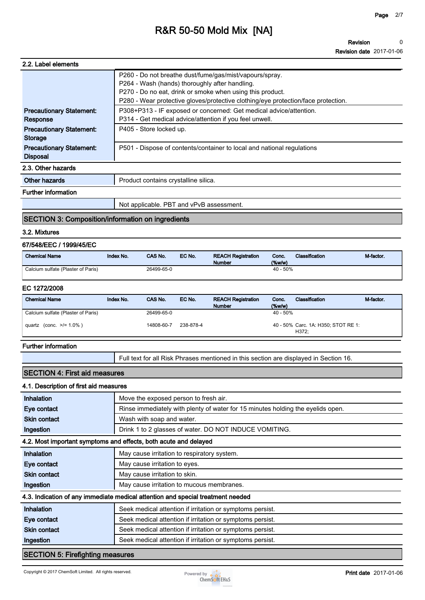**Revision Revision date 2017-01-06 0**

| 2.2. Label elements                                |                                                                                                                                                                                                                                                             |
|----------------------------------------------------|-------------------------------------------------------------------------------------------------------------------------------------------------------------------------------------------------------------------------------------------------------------|
|                                                    | P260 - Do not breathe dust/fume/gas/mist/vapours/spray.<br>P264 - Wash (hands) thoroughly after handling.<br>P270 - Do no eat, drink or smoke when using this product.<br>P280 - Wear protective gloves/protective clothing/eye protection/face protection. |
| <b>Precautionary Statement:</b><br>Response        | P308+P313 - IF exposed or concerned: Get medical advice/attention.<br>P314 - Get medical advice/attention if you feel unwell.                                                                                                                               |
| <b>Precautionary Statement:</b><br><b>Storage</b>  | P405 - Store locked up.                                                                                                                                                                                                                                     |
| <b>Precautionary Statement:</b><br><b>Disposal</b> | P501 - Dispose of contents/container to local and national regulations                                                                                                                                                                                      |
| 2.3. Other hazards                                 |                                                                                                                                                                                                                                                             |
| Other hazards                                      | Product contains crystalline silica.                                                                                                                                                                                                                        |
| <b>Further information</b>                         |                                                                                                                                                                                                                                                             |

# **Not applicable. PBT and vPvB assessment.**

## **SECTION 3: Composition/information on ingredients**

#### **3.2. Mixtures**

## **67/548/EEC / 1999/45/EC**

| <b>Chemical Name</b>               | Index No. | <b>CAS No.</b> | EC No. | <b>REACH Registration</b><br><b>Number</b> | Conc.<br>$($ %w/w $)$ | <b>Classification</b> | M-factor. |
|------------------------------------|-----------|----------------|--------|--------------------------------------------|-----------------------|-----------------------|-----------|
| Calcium sulfate (Plaster of Paris) |           | 26499-65-0     |        |                                            | $40 - 50\%$           |                       |           |

### **EC 1272/2008**

| <b>Chemical Name</b>               | Index No. | CAS No.    | EC No.    | <b>REACH Registration</b><br><b>Number</b> | Conc.<br>$(\%w/w)$ | Classification                               | M-factor. |
|------------------------------------|-----------|------------|-----------|--------------------------------------------|--------------------|----------------------------------------------|-----------|
| Calcium sulfate (Plaster of Paris) |           | 26499-65-0 |           |                                            | $40 - 50%$         |                                              |           |
| quartz (conc. $>1.0\%$ )           |           | 14808-60-7 | 238-878-4 |                                            |                    | 40 - 50% Carc. 1A: H350; STOT RE 1:<br>H372: |           |

#### **Further information**

**Full text for all Risk Phrases mentioned in this section are displayed in Section 16.**

# **SECTION 4: First aid measures 4.1. Description of first aid measures**

| <b>Inhalation</b>                       | Move the exposed person to fresh air.                                           |
|-----------------------------------------|---------------------------------------------------------------------------------|
| Eye contact                             | Rinse immediately with plenty of water for 15 minutes holding the eyelids open. |
| <b>Skin contact</b>                     | Wash with soap and water.                                                       |
| Ingestion                               | Drink 1 to 2 glasses of water. DO NOT INDUCE VOMITING.                          |
|                                         | 4.2. Most important symptoms and effects, both acute and delayed                |
| Inhalation                              | May cause irritation to respiratory system.                                     |
| Eye contact                             | May cause irritation to eyes.                                                   |
| <b>Skin contact</b>                     | May cause irritation to skin.                                                   |
| Ingestion                               | May cause irritation to mucous membranes.                                       |
|                                         | 4.3. Indication of any immediate medical attention and special treatment needed |
| Inhalation                              | Seek medical attention if irritation or symptoms persist.                       |
| Eye contact                             | Seek medical attention if irritation or symptoms persist.                       |
| <b>Skin contact</b>                     | Seek medical attention if irritation or symptoms persist.                       |
| Ingestion                               | Seek medical attention if irritation or symptoms persist.                       |
| <b>SECTION 5: Firefighting measures</b> |                                                                                 |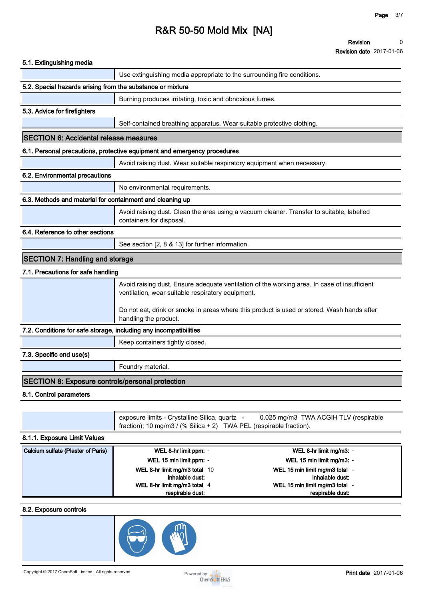**Revision Revision date 2017-01-06 0**

| 5.1. Extinguishing media                                          |                                                                                                                                                                                                                                                                                                                             |
|-------------------------------------------------------------------|-----------------------------------------------------------------------------------------------------------------------------------------------------------------------------------------------------------------------------------------------------------------------------------------------------------------------------|
|                                                                   | Use extinguishing media appropriate to the surrounding fire conditions.                                                                                                                                                                                                                                                     |
| 5.2. Special hazards arising from the substance or mixture        |                                                                                                                                                                                                                                                                                                                             |
|                                                                   | Burning produces irritating, toxic and obnoxious fumes.                                                                                                                                                                                                                                                                     |
| 5.3. Advice for firefighters                                      |                                                                                                                                                                                                                                                                                                                             |
|                                                                   | Self-contained breathing apparatus. Wear suitable protective clothing.                                                                                                                                                                                                                                                      |
| <b>SECTION 6: Accidental release measures</b>                     |                                                                                                                                                                                                                                                                                                                             |
|                                                                   | 6.1. Personal precautions, protective equipment and emergency procedures                                                                                                                                                                                                                                                    |
|                                                                   | Avoid raising dust. Wear suitable respiratory equipment when necessary.                                                                                                                                                                                                                                                     |
| 6.2. Environmental precautions                                    |                                                                                                                                                                                                                                                                                                                             |
|                                                                   | No environmental requirements.                                                                                                                                                                                                                                                                                              |
| 6.3. Methods and material for containment and cleaning up         |                                                                                                                                                                                                                                                                                                                             |
|                                                                   | Avoid raising dust. Clean the area using a vacuum cleaner. Transfer to suitable, labelled<br>containers for disposal.                                                                                                                                                                                                       |
| 6.4. Reference to other sections                                  |                                                                                                                                                                                                                                                                                                                             |
|                                                                   | See section [2, 8 & 13] for further information.                                                                                                                                                                                                                                                                            |
| <b>SECTION 7: Handling and storage</b>                            |                                                                                                                                                                                                                                                                                                                             |
| 7.1. Precautions for safe handling                                |                                                                                                                                                                                                                                                                                                                             |
|                                                                   | Avoid raising dust. Ensure adequate ventilation of the working area. In case of insufficient<br>ventilation, wear suitable respiratory equipment.                                                                                                                                                                           |
|                                                                   | Do not eat, drink or smoke in areas where this product is used or stored. Wash hands after<br>handling the product.                                                                                                                                                                                                         |
| 7.2. Conditions for safe storage, including any incompatibilities |                                                                                                                                                                                                                                                                                                                             |
|                                                                   | Keep containers tightly closed.                                                                                                                                                                                                                                                                                             |
| 7.3. Specific end use(s)                                          |                                                                                                                                                                                                                                                                                                                             |
|                                                                   | Foundry material.                                                                                                                                                                                                                                                                                                           |
| <b>SECTION 8: Exposure controls/personal protection</b>           |                                                                                                                                                                                                                                                                                                                             |
| 8.1. Control parameters                                           |                                                                                                                                                                                                                                                                                                                             |
|                                                                   |                                                                                                                                                                                                                                                                                                                             |
|                                                                   | exposure limits - Crystalline Silica, quartz -<br>0.025 mg/m3 TWA ACGIH TLV (respirable<br>fraction); 10 mg/m3 / (% Silica + 2) TWA PEL (respirable fraction).                                                                                                                                                              |
| 8.1.1. Exposure Limit Values                                      |                                                                                                                                                                                                                                                                                                                             |
| Calcium sulfate (Plaster of Paris)                                | WEL 8-hr limit ppm: -<br>WEL 8-hr limit mg/m3: -<br>WEL 15 min limit mg/m3: -<br>WEL 15 min limit ppm: -<br>WEL 8-hr limit mg/m3 total 10<br>WEL 15 min limit mg/m3 total -<br>inhalable dust:<br>inhalable dust:<br>WEL 8-hr limit mg/m3 total 4<br>WEL 15 min limit mg/m3 total -<br>respirable dust:<br>respirable dust: |
| 8.2. Exposure controls                                            |                                                                                                                                                                                                                                                                                                                             |
|                                                                   |                                                                                                                                                                                                                                                                                                                             |

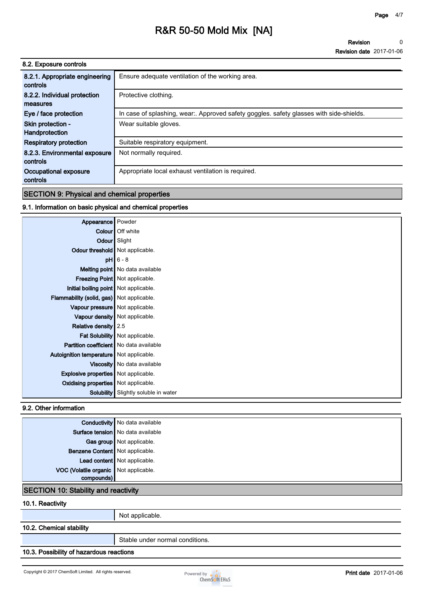**Revision Revision date 2017-01-06 0**

| 8.2. Exposure controls                     |                                                                                       |
|--------------------------------------------|---------------------------------------------------------------------------------------|
| 8.2.1. Appropriate engineering<br>controls | Ensure adequate ventilation of the working area.                                      |
| 8.2.2. Individual protection               | Protective clothing.                                                                  |
| measures                                   |                                                                                       |
| Eye / face protection                      | In case of splashing, wear Approved safety goggles. safety glasses with side-shields. |
| Skin protection -                          | Wear suitable gloves.                                                                 |
| Handprotection                             |                                                                                       |
| <b>Respiratory protection</b>              | Suitable respiratory equipment.                                                       |
| 8.2.3. Environmental exposure              | Not normally required.                                                                |
| controls                                   |                                                                                       |
| Occupational exposure                      | Appropriate local exhaust ventilation is required.                                    |
| controls                                   |                                                                                       |

# **SECTION 9: Physical and chemical properties**

## **9.1. Information on basic physical and chemical properties**

| Appearance Powder                              |                                             |
|------------------------------------------------|---------------------------------------------|
|                                                | Colour   Off white                          |
|                                                | Odour Slight                                |
| Odour threshold   Not applicable.              |                                             |
|                                                | $pH$ 6 - 8                                  |
|                                                | Melting point   No data available           |
|                                                | <b>Freezing Point</b> Not applicable.       |
| Initial boiling point   Not applicable.        |                                             |
| Flammability (solid, gas) Not applicable.      |                                             |
| Vapour pressure   Not applicable.              |                                             |
|                                                | Vapour density   Not applicable.            |
| Relative density $2.5$                         |                                             |
|                                                | Fat Solubility   Not applicable.            |
| <b>Partition coefficient</b> No data available |                                             |
| Autoignition temperature   Not applicable.     |                                             |
|                                                | Viscosity   No data available               |
| <b>Explosive properties</b> Not applicable.    |                                             |
| <b>Oxidising properties</b> Not applicable.    |                                             |
|                                                | <b>Solubility</b> Slightly soluble in water |

## **9.2. Other information**

|                                       | <b>Conductivity</b> No data available       |  |
|---------------------------------------|---------------------------------------------|--|
|                                       | Surface tension   No data available         |  |
|                                       | Gas group Not applicable.                   |  |
| Benzene Content Not applicable.       |                                             |  |
|                                       | Lead content Not applicable.                |  |
| VOC (Volatile organic Not applicable. |                                             |  |
| compounds)                            |                                             |  |
|                                       | <b>SECTION 10: Stability and reactivity</b> |  |

#### **10.1. Reactivity**

**Not applicable.**

## **10.2. Chemical stability**

**Stable under normal conditions.**

## **10.3. Possibility of hazardous reactions**

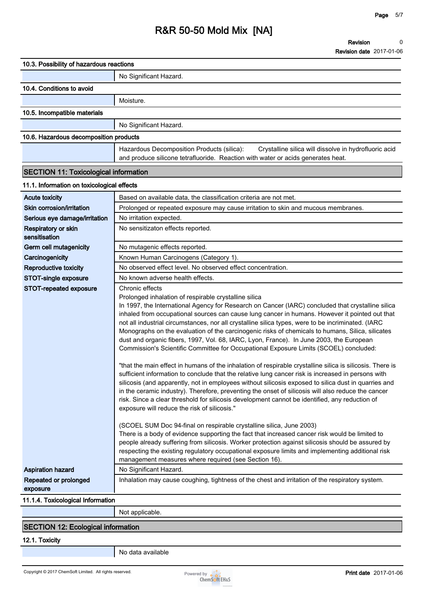| 10.3. Possibility of hazardous reactions     |                                                                                                                                                                                                                                                                                                                                                                                                                                                                                                                                                                                                                                                                                                                                                                                                                                                                                                                                                                                                                                                                                                                                                                                                                                                                                                                                                                                                                                                                                                                                                                                                                                                                                                             |
|----------------------------------------------|-------------------------------------------------------------------------------------------------------------------------------------------------------------------------------------------------------------------------------------------------------------------------------------------------------------------------------------------------------------------------------------------------------------------------------------------------------------------------------------------------------------------------------------------------------------------------------------------------------------------------------------------------------------------------------------------------------------------------------------------------------------------------------------------------------------------------------------------------------------------------------------------------------------------------------------------------------------------------------------------------------------------------------------------------------------------------------------------------------------------------------------------------------------------------------------------------------------------------------------------------------------------------------------------------------------------------------------------------------------------------------------------------------------------------------------------------------------------------------------------------------------------------------------------------------------------------------------------------------------------------------------------------------------------------------------------------------------|
|                                              | No Significant Hazard.                                                                                                                                                                                                                                                                                                                                                                                                                                                                                                                                                                                                                                                                                                                                                                                                                                                                                                                                                                                                                                                                                                                                                                                                                                                                                                                                                                                                                                                                                                                                                                                                                                                                                      |
| 10.4. Conditions to avoid                    |                                                                                                                                                                                                                                                                                                                                                                                                                                                                                                                                                                                                                                                                                                                                                                                                                                                                                                                                                                                                                                                                                                                                                                                                                                                                                                                                                                                                                                                                                                                                                                                                                                                                                                             |
|                                              | Moisture.                                                                                                                                                                                                                                                                                                                                                                                                                                                                                                                                                                                                                                                                                                                                                                                                                                                                                                                                                                                                                                                                                                                                                                                                                                                                                                                                                                                                                                                                                                                                                                                                                                                                                                   |
| 10.5. Incompatible materials                 |                                                                                                                                                                                                                                                                                                                                                                                                                                                                                                                                                                                                                                                                                                                                                                                                                                                                                                                                                                                                                                                                                                                                                                                                                                                                                                                                                                                                                                                                                                                                                                                                                                                                                                             |
|                                              | No Significant Hazard.                                                                                                                                                                                                                                                                                                                                                                                                                                                                                                                                                                                                                                                                                                                                                                                                                                                                                                                                                                                                                                                                                                                                                                                                                                                                                                                                                                                                                                                                                                                                                                                                                                                                                      |
|                                              |                                                                                                                                                                                                                                                                                                                                                                                                                                                                                                                                                                                                                                                                                                                                                                                                                                                                                                                                                                                                                                                                                                                                                                                                                                                                                                                                                                                                                                                                                                                                                                                                                                                                                                             |
| 10.6. Hazardous decomposition products       |                                                                                                                                                                                                                                                                                                                                                                                                                                                                                                                                                                                                                                                                                                                                                                                                                                                                                                                                                                                                                                                                                                                                                                                                                                                                                                                                                                                                                                                                                                                                                                                                                                                                                                             |
|                                              | Hazardous Decomposition Products (silica):<br>Crystalline silica will dissolve in hydrofluoric acid<br>and produce silicone tetrafluoride. Reaction with water or acids generates heat.                                                                                                                                                                                                                                                                                                                                                                                                                                                                                                                                                                                                                                                                                                                                                                                                                                                                                                                                                                                                                                                                                                                                                                                                                                                                                                                                                                                                                                                                                                                     |
|                                              |                                                                                                                                                                                                                                                                                                                                                                                                                                                                                                                                                                                                                                                                                                                                                                                                                                                                                                                                                                                                                                                                                                                                                                                                                                                                                                                                                                                                                                                                                                                                                                                                                                                                                                             |
| <b>SECTION 11: Toxicological information</b> |                                                                                                                                                                                                                                                                                                                                                                                                                                                                                                                                                                                                                                                                                                                                                                                                                                                                                                                                                                                                                                                                                                                                                                                                                                                                                                                                                                                                                                                                                                                                                                                                                                                                                                             |
| 11.1. Information on toxicological effects   |                                                                                                                                                                                                                                                                                                                                                                                                                                                                                                                                                                                                                                                                                                                                                                                                                                                                                                                                                                                                                                                                                                                                                                                                                                                                                                                                                                                                                                                                                                                                                                                                                                                                                                             |
| <b>Acute toxicity</b>                        | Based on available data, the classification criteria are not met.                                                                                                                                                                                                                                                                                                                                                                                                                                                                                                                                                                                                                                                                                                                                                                                                                                                                                                                                                                                                                                                                                                                                                                                                                                                                                                                                                                                                                                                                                                                                                                                                                                           |
| Skin corrosion/irritation                    | Prolonged or repeated exposure may cause irritation to skin and mucous membranes.                                                                                                                                                                                                                                                                                                                                                                                                                                                                                                                                                                                                                                                                                                                                                                                                                                                                                                                                                                                                                                                                                                                                                                                                                                                                                                                                                                                                                                                                                                                                                                                                                           |
| Serious eye damage/irritation                | No irritation expected.                                                                                                                                                                                                                                                                                                                                                                                                                                                                                                                                                                                                                                                                                                                                                                                                                                                                                                                                                                                                                                                                                                                                                                                                                                                                                                                                                                                                                                                                                                                                                                                                                                                                                     |
| Respiratory or skin<br>sensitisation         | No sensitizaton effects reported.                                                                                                                                                                                                                                                                                                                                                                                                                                                                                                                                                                                                                                                                                                                                                                                                                                                                                                                                                                                                                                                                                                                                                                                                                                                                                                                                                                                                                                                                                                                                                                                                                                                                           |
| Germ cell mutagenicity                       | No mutagenic effects reported.                                                                                                                                                                                                                                                                                                                                                                                                                                                                                                                                                                                                                                                                                                                                                                                                                                                                                                                                                                                                                                                                                                                                                                                                                                                                                                                                                                                                                                                                                                                                                                                                                                                                              |
| Carcinogenicity                              | Known Human Carcinogens (Category 1).                                                                                                                                                                                                                                                                                                                                                                                                                                                                                                                                                                                                                                                                                                                                                                                                                                                                                                                                                                                                                                                                                                                                                                                                                                                                                                                                                                                                                                                                                                                                                                                                                                                                       |
| <b>Reproductive toxicity</b>                 | No observed effect level. No observed effect concentration.                                                                                                                                                                                                                                                                                                                                                                                                                                                                                                                                                                                                                                                                                                                                                                                                                                                                                                                                                                                                                                                                                                                                                                                                                                                                                                                                                                                                                                                                                                                                                                                                                                                 |
| STOT-single exposure                         | No known adverse health effects.                                                                                                                                                                                                                                                                                                                                                                                                                                                                                                                                                                                                                                                                                                                                                                                                                                                                                                                                                                                                                                                                                                                                                                                                                                                                                                                                                                                                                                                                                                                                                                                                                                                                            |
| STOT-repeated exposure                       | Chronic effects<br>Prolonged inhalation of respirable crystalline silica<br>In 1997, the International Agency for Research on Cancer (IARC) concluded that crystalline silica<br>inhaled from occupational sources can cause lung cancer in humans. However it pointed out that<br>not all industrial circumstances, nor all crystalline silica types, were to be incriminated. (IARC<br>Monographs on the evaluation of the carcinogenic risks of chemicals to humans, Silica, silicates<br>dust and organic fibers, 1997, Vol. 68, IARC, Lyon, France). In June 2003, the European<br>Commission's Scientific Committee for Occupational Exposure Limits (SCOEL) concluded:<br>"that the main effect in humans of the inhalation of respirable crystalline silica is silicosis. There is<br>sufficient information to conclude that the relative lung cancer risk is increased in persons with<br>silicosis (and apparently, not in employees without silicosis exposed to silica dust in quarries and<br>in the ceramic industry). Therefore, preventing the onset of silicosis will also reduce the cancer<br>risk. Since a clear threshold for silicosis development cannot be identified, any reduction of<br>exposure will reduce the risk of silicosis."<br>(SCOEL SUM Doc 94-final on respirable crystalline silica, June 2003)<br>There is a body of evidence supporting the fact that increased cancer risk would be limited to<br>people already suffering from silicosis. Worker protection against silicosis should be assured by<br>respecting the existing regulatory occupational exposure limits and implementing additional risk<br>management measures where required (see Section 16). |
| <b>Aspiration hazard</b>                     | No Significant Hazard.                                                                                                                                                                                                                                                                                                                                                                                                                                                                                                                                                                                                                                                                                                                                                                                                                                                                                                                                                                                                                                                                                                                                                                                                                                                                                                                                                                                                                                                                                                                                                                                                                                                                                      |
| Repeated or prolonged<br>exposure            | Inhalation may cause coughing, tightness of the chest and irritation of the respiratory system.                                                                                                                                                                                                                                                                                                                                                                                                                                                                                                                                                                                                                                                                                                                                                                                                                                                                                                                                                                                                                                                                                                                                                                                                                                                                                                                                                                                                                                                                                                                                                                                                             |
| 11.1.4. Toxicological Information            |                                                                                                                                                                                                                                                                                                                                                                                                                                                                                                                                                                                                                                                                                                                                                                                                                                                                                                                                                                                                                                                                                                                                                                                                                                                                                                                                                                                                                                                                                                                                                                                                                                                                                                             |
|                                              | Not applicable.                                                                                                                                                                                                                                                                                                                                                                                                                                                                                                                                                                                                                                                                                                                                                                                                                                                                                                                                                                                                                                                                                                                                                                                                                                                                                                                                                                                                                                                                                                                                                                                                                                                                                             |
| <b>SECTION 12: Ecological information</b>    |                                                                                                                                                                                                                                                                                                                                                                                                                                                                                                                                                                                                                                                                                                                                                                                                                                                                                                                                                                                                                                                                                                                                                                                                                                                                                                                                                                                                                                                                                                                                                                                                                                                                                                             |
|                                              |                                                                                                                                                                                                                                                                                                                                                                                                                                                                                                                                                                                                                                                                                                                                                                                                                                                                                                                                                                                                                                                                                                                                                                                                                                                                                                                                                                                                                                                                                                                                                                                                                                                                                                             |

**12.1. Toxicity**

**No data available**

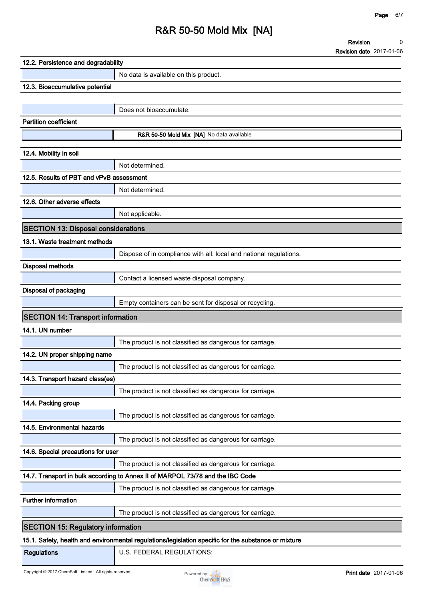**Revision Revision date 2017-01-06 0**

| 12.2. Persistence and degradability        |                                                                                                      |
|--------------------------------------------|------------------------------------------------------------------------------------------------------|
|                                            | No data is available on this product.                                                                |
| 12.3. Bioaccumulative potential            |                                                                                                      |
|                                            |                                                                                                      |
|                                            | Does not bioaccumulate.                                                                              |
| <b>Partition coefficient</b>               |                                                                                                      |
|                                            | R&R 50-50 Mold Mix [NA] No data available                                                            |
| 12.4. Mobility in soil                     |                                                                                                      |
|                                            | Not determined.                                                                                      |
| 12.5. Results of PBT and vPvB assessment   |                                                                                                      |
|                                            | Not determined.                                                                                      |
| 12.6. Other adverse effects                |                                                                                                      |
|                                            | Not applicable.                                                                                      |
| <b>SECTION 13: Disposal considerations</b> |                                                                                                      |
| 13.1. Waste treatment methods              |                                                                                                      |
|                                            | Dispose of in compliance with all. local and national regulations.                                   |
| <b>Disposal methods</b>                    |                                                                                                      |
|                                            | Contact a licensed waste disposal company.                                                           |
| Disposal of packaging                      |                                                                                                      |
|                                            | Empty containers can be sent for disposal or recycling.                                              |
| <b>SECTION 14: Transport information</b>   |                                                                                                      |
| 14.1. UN number                            |                                                                                                      |
|                                            | The product is not classified as dangerous for carriage.                                             |
| 14.2. UN proper shipping name              |                                                                                                      |
|                                            | The product is not classified as dangerous for carriage.                                             |
| 14.3. Transport hazard class(es)           |                                                                                                      |
|                                            | The product is not classified as dangerous for carriage.                                             |
| 14.4. Packing group                        |                                                                                                      |
|                                            | The product is not classified as dangerous for carriage.                                             |
| 14.5. Environmental hazards                |                                                                                                      |
|                                            | The product is not classified as dangerous for carriage.                                             |
| 14.6. Special precautions for user         |                                                                                                      |
|                                            | The product is not classified as dangerous for carriage.                                             |
|                                            | 14.7. Transport in bulk according to Annex II of MARPOL 73/78 and the IBC Code                       |
|                                            | The product is not classified as dangerous for carriage.                                             |
| <b>Further information</b>                 |                                                                                                      |
|                                            | The product is not classified as dangerous for carriage.                                             |
| <b>SECTION 15: Regulatory information</b>  |                                                                                                      |
|                                            | 15.1. Safety, health and environmental regulations/legislation specific for the substance or mixture |
| <b>Regulations</b>                         | U.S. FEDERAL REGULATIONS:                                                                            |